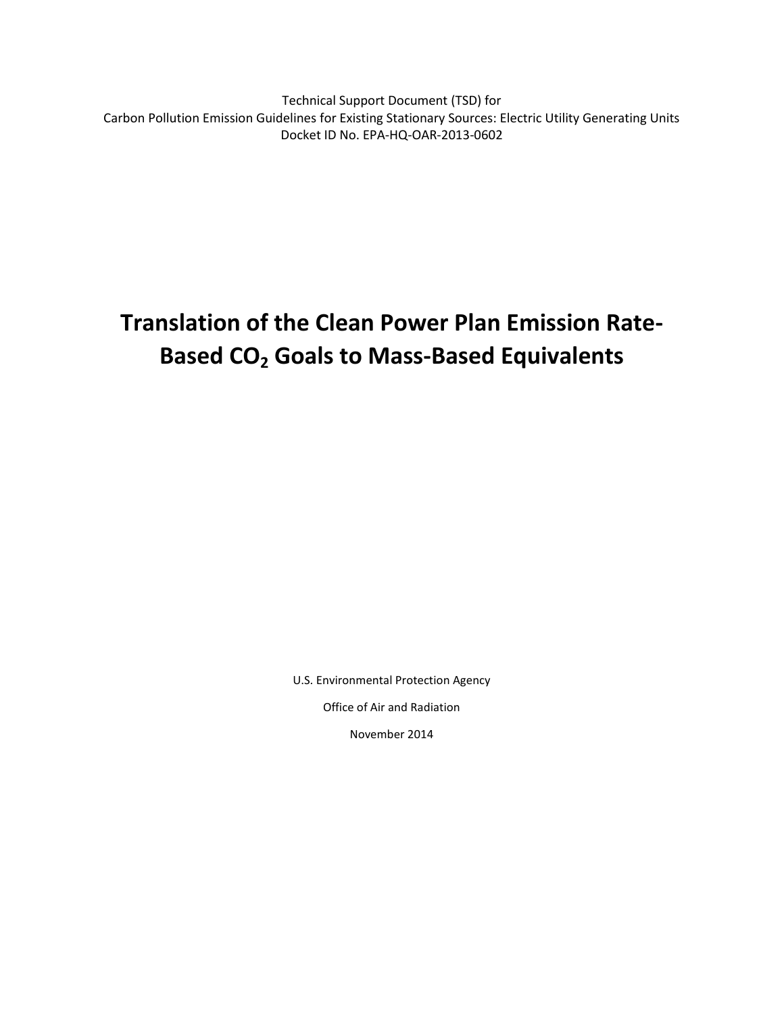Technical Support Document (TSD) for Carbon Pollution Emission Guidelines for Existing Stationary Sources: Electric Utility Generating Units Docket ID No. EPA-HQ-OAR-2013-0602

# **Translation of the Clean Power Plan Emission Rate-Based CO<sup>2</sup> Goals to Mass-Based Equivalents**

U.S. Environmental Protection Agency

Office of Air and Radiation

November 2014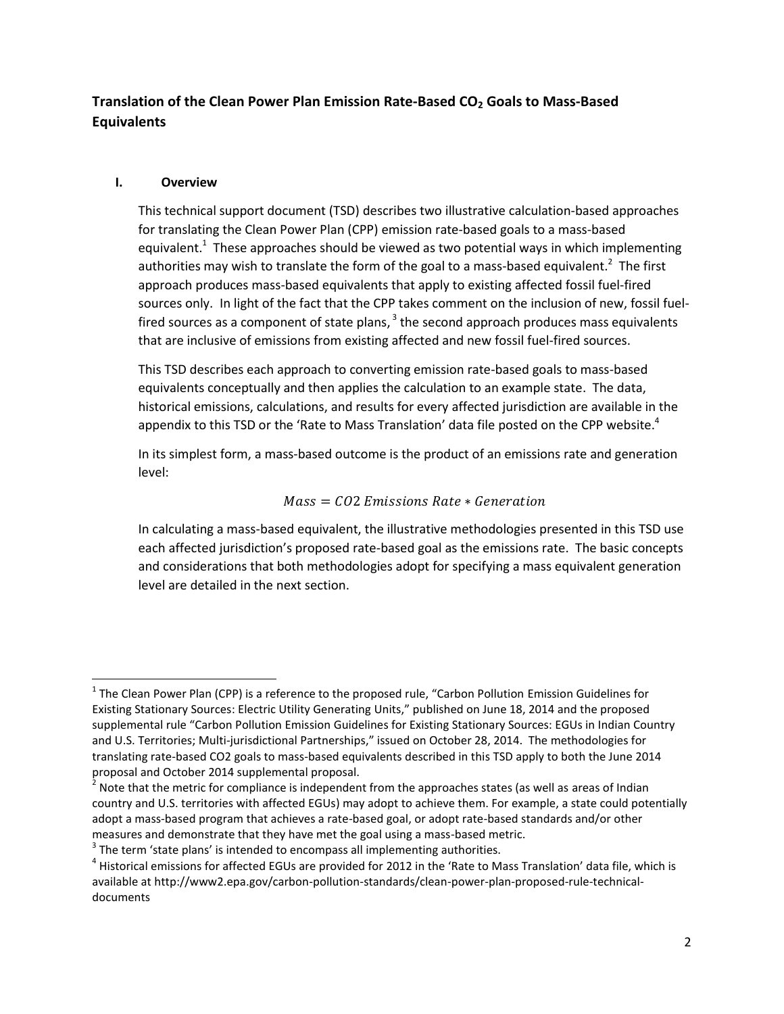### **Translation of the Clean Power Plan Emission Rate-Based CO<sup>2</sup> Goals to Mass-Based Equivalents**

#### **I. Overview**

 $\overline{\phantom{a}}$ 

This technical support document (TSD) describes two illustrative calculation-based approaches for translating the Clean Power Plan (CPP) emission rate-based goals to a mass-based equivalent.<sup>1</sup> These approaches should be viewed as two potential ways in which implementing authorities may wish to translate the form of the goal to a mass-based equivalent.<sup>2</sup> The first approach produces mass-based equivalents that apply to existing affected fossil fuel-fired sources only. In light of the fact that the CPP takes comment on the inclusion of new, fossil fuelfired sources as a component of state plans,  $^3$  the second approach produces mass equivalents that are inclusive of emissions from existing affected and new fossil fuel-fired sources.

This TSD describes each approach to converting emission rate-based goals to mass-based equivalents conceptually and then applies the calculation to an example state. The data, historical emissions, calculations, and results for every affected jurisdiction are available in the appendix to this TSD or the 'Rate to Mass Translation' data file posted on the CPP website. $4$ 

In its simplest form, a mass-based outcome is the product of an emissions rate and generation level:

#### $Mass = CO2$  Emissions Rate  $*$  Generation

In calculating a mass-based equivalent, the illustrative methodologies presented in this TSD use each affected jurisdiction's proposed rate-based goal as the emissions rate. The basic concepts and considerations that both methodologies adopt for specifying a mass equivalent generation level are detailed in the next section.

 $^1$  The Clean Power Plan (CPP) is a reference to the proposed rule, "Carbon Pollution Emission Guidelines for Existing Stationary Sources: Electric Utility Generating Units," published on June 18, 2014 and the proposed supplemental rule "Carbon Pollution Emission Guidelines for Existing Stationary Sources: EGUs in Indian Country and U.S. Territories; Multi-jurisdictional Partnerships," issued on October 28, 2014. The methodologies for translating rate-based CO2 goals to mass-based equivalents described in this TSD apply to both the June 2014 proposal and October 2014 supplemental proposal.

 $^2$  Note that the metric for compliance is independent from the approaches states (as well as areas of Indian country and U.S. territories with affected EGUs) may adopt to achieve them. For example, a state could potentially adopt a mass-based program that achieves a rate-based goal, or adopt rate-based standards and/or other measures and demonstrate that they have met the goal using a mass-based metric.

 $3$  The term 'state plans' is intended to encompass all implementing authorities.

 $^4$  Historical emissions for affected EGUs are provided for 2012 in the 'Rate to Mass Translation' data file, which is available at http://www2.epa.gov/carbon-pollution-standards/clean-power-plan-proposed-rule-technicaldocuments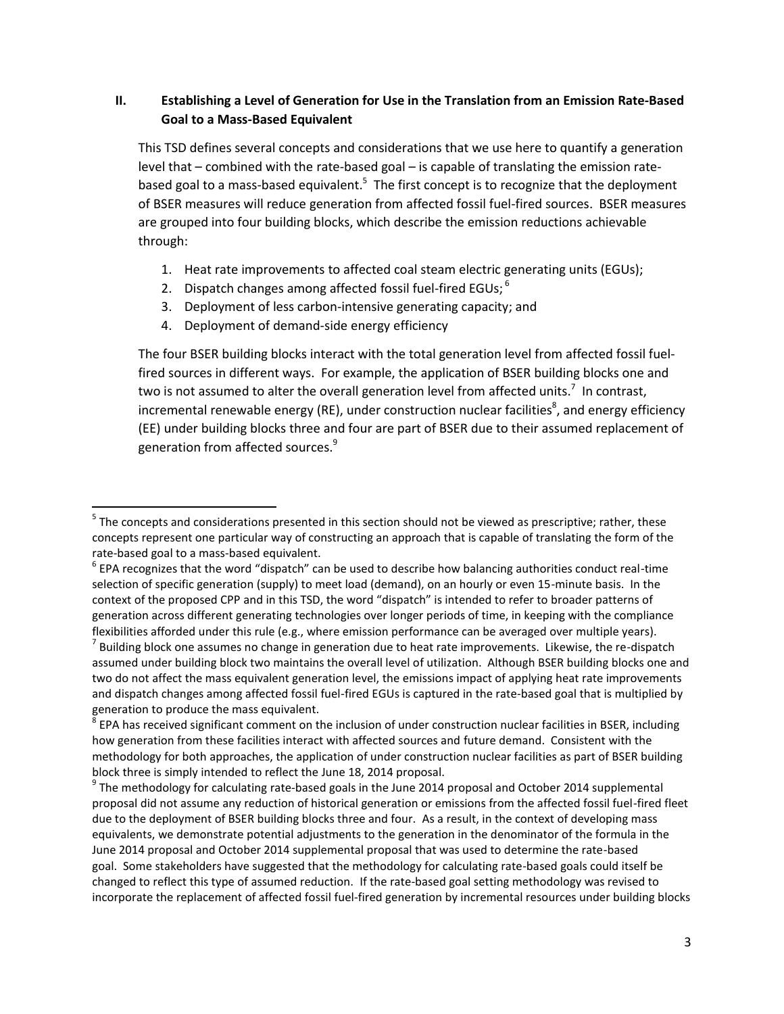#### **II. Establishing a Level of Generation for Use in the Translation from an Emission Rate-Based Goal to a Mass-Based Equivalent**

This TSD defines several concepts and considerations that we use here to quantify a generation level that – combined with the rate-based goal – is capable of translating the emission ratebased goal to a mass-based equivalent.<sup>5</sup> The first concept is to recognize that the deployment of BSER measures will reduce generation from affected fossil fuel-fired sources. BSER measures are grouped into four building blocks, which describe the emission reductions achievable through:

- 1. Heat rate improvements to affected coal steam electric generating units (EGUs);
- 2. Dispatch changes among affected fossil fuel-fired EGUs;  $6$
- 3. Deployment of less carbon-intensive generating capacity; and
- 4. Deployment of demand-side energy efficiency

 $\overline{\phantom{a}}$ 

The four BSER building blocks interact with the total generation level from affected fossil fuelfired sources in different ways. For example, the application of BSER building blocks one and two is not assumed to alter the overall generation level from affected units.<sup>7</sup> In contrast, incremental renewable energy (RE), under construction nuclear facilities<sup>8</sup>, and energy efficiency (EE) under building blocks three and four are part of BSER due to their assumed replacement of generation from affected sources.<sup>9</sup>

 $<sup>5</sup>$  The concepts and considerations presented in this section should not be viewed as prescriptive; rather, these</sup> concepts represent one particular way of constructing an approach that is capable of translating the form of the rate-based goal to a mass-based equivalent.

 $^6$  EPA recognizes that the word "dispatch" can be used to describe how balancing authorities conduct real-time selection of specific generation (supply) to meet load (demand), on an hourly or even 15-minute basis. In the context of the proposed CPP and in this TSD, the word "dispatch" is intended to refer to broader patterns of generation across different generating technologies over longer periods of time, in keeping with the compliance flexibilities afforded under this rule (e.g., where emission performance can be averaged over multiple years).

 $^7$  Building block one assumes no change in generation due to heat rate improvements. Likewise, the re-dispatch assumed under building block two maintains the overall level of utilization. Although BSER building blocks one and two do not affect the mass equivalent generation level, the emissions impact of applying heat rate improvements and dispatch changes among affected fossil fuel-fired EGUs is captured in the rate-based goal that is multiplied by generation to produce the mass equivalent.

 $^8$  EPA has received significant comment on the inclusion of under construction nuclear facilities in BSER, including how generation from these facilities interact with affected sources and future demand. Consistent with the methodology for both approaches, the application of under construction nuclear facilities as part of BSER building block three is simply intended to reflect the June 18, 2014 proposal.

 $^9$  The methodology for calculating rate-based goals in the June 2014 proposal and October 2014 supplemental proposal did not assume any reduction of historical generation or emissions from the affected fossil fuel-fired fleet due to the deployment of BSER building blocks three and four. As a result, in the context of developing mass equivalents, we demonstrate potential adjustments to the generation in the denominator of the formula in the June 2014 proposal and October 2014 supplemental proposal that was used to determine the rate-based goal. Some stakeholders have suggested that the methodology for calculating rate-based goals could itself be changed to reflect this type of assumed reduction. If the rate-based goal setting methodology was revised to incorporate the replacement of affected fossil fuel-fired generation by incremental resources under building blocks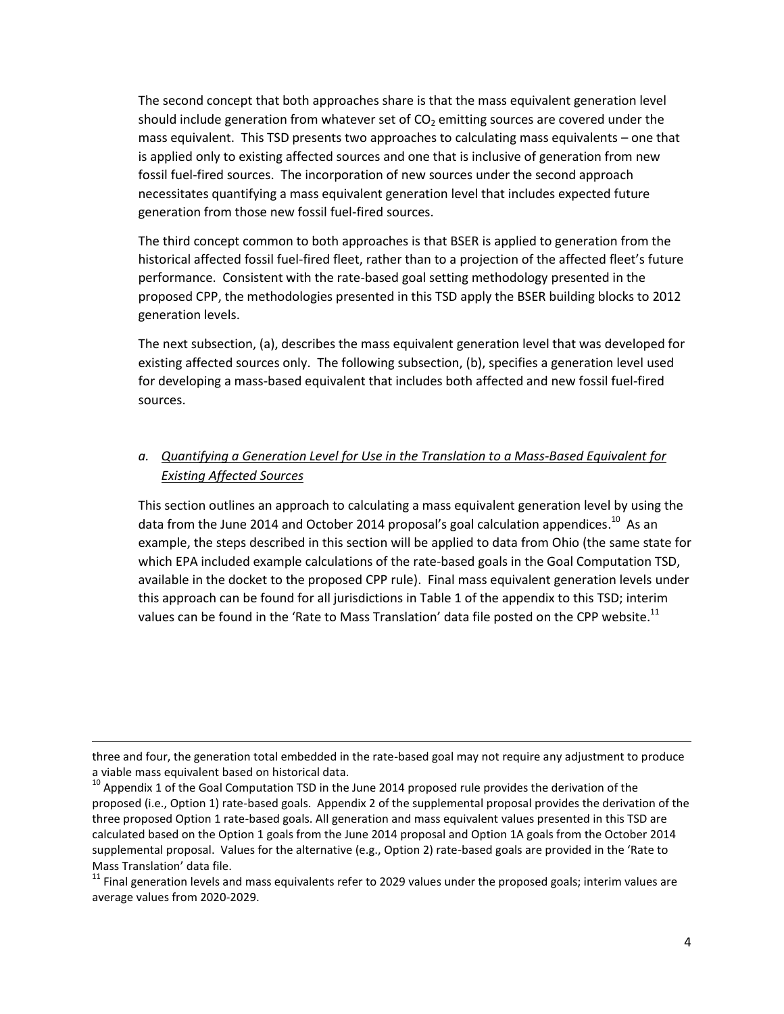The second concept that both approaches share is that the mass equivalent generation level should include generation from whatever set of  $CO<sub>2</sub>$  emitting sources are covered under the mass equivalent. This TSD presents two approaches to calculating mass equivalents – one that is applied only to existing affected sources and one that is inclusive of generation from new fossil fuel-fired sources. The incorporation of new sources under the second approach necessitates quantifying a mass equivalent generation level that includes expected future generation from those new fossil fuel-fired sources.

The third concept common to both approaches is that BSER is applied to generation from the historical affected fossil fuel-fired fleet, rather than to a projection of the affected fleet's future performance. Consistent with the rate-based goal setting methodology presented in the proposed CPP, the methodologies presented in this TSD apply the BSER building blocks to 2012 generation levels.

The next subsection, (a), describes the mass equivalent generation level that was developed for existing affected sources only. The following subsection, (b), specifies a generation level used for developing a mass-based equivalent that includes both affected and new fossil fuel-fired sources.

#### *a. Quantifying a Generation Level for Use in the Translation to a Mass-Based Equivalent for Existing Affected Sources*

This section outlines an approach to calculating a mass equivalent generation level by using the data from the June 2014 and October 2014 proposal's goal calculation appendices.<sup>10</sup> As an example, the steps described in this section will be applied to data from Ohio (the same state for which EPA included example calculations of the rate-based goals in the Goal Computation TSD, available in the docket to the proposed CPP rule). Final mass equivalent generation levels under this approach can be found for all jurisdictions in Table 1 of the appendix to this TSD; interim values can be found in the 'Rate to Mass Translation' data file posted on the CPP website.<sup>11</sup>

three and four, the generation total embedded in the rate-based goal may not require any adjustment to produce a viable mass equivalent based on historical data.

 $10$  Appendix 1 of the Goal Computation TSD in the June 2014 proposed rule provides the derivation of the proposed (i.e., Option 1) rate-based goals. Appendix 2 of the supplemental proposal provides the derivation of the three proposed Option 1 rate-based goals. All generation and mass equivalent values presented in this TSD are calculated based on the Option 1 goals from the June 2014 proposal and Option 1A goals from the October 2014 supplemental proposal. Values for the alternative (e.g., Option 2) rate-based goals are provided in the 'Rate to Mass Translation' data file.

 $11$  Final generation levels and mass equivalents refer to 2029 values under the proposed goals; interim values are average values from 2020-2029.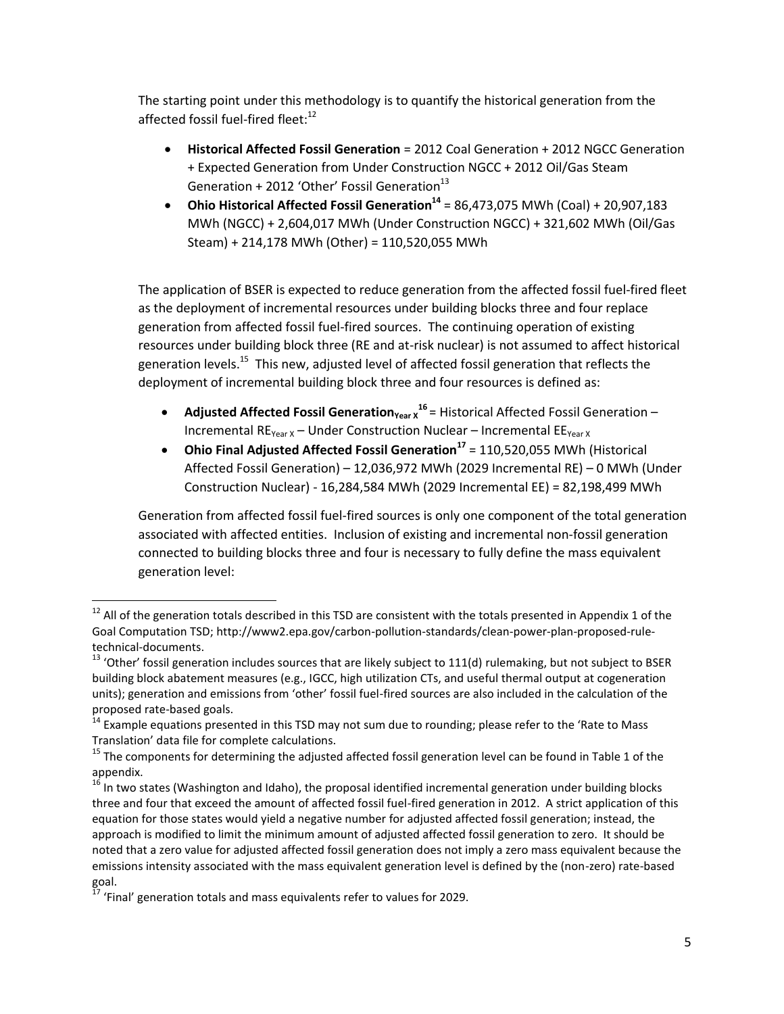The starting point under this methodology is to quantify the historical generation from the affected fossil fuel-fired fleet:<sup>12</sup>

- **Historical Affected Fossil Generation** = 2012 Coal Generation + 2012 NGCC Generation + Expected Generation from Under Construction NGCC + 2012 Oil/Gas Steam Generation + 2012 'Other' Fossil Generation $^{13}$
- **Ohio Historical Affected Fossil Generation<sup>14</sup>** = 86,473,075 MWh (Coal) + 20,907,183 MWh (NGCC) + 2,604,017 MWh (Under Construction NGCC) + 321,602 MWh (Oil/Gas Steam) + 214,178 MWh (Other) = 110,520,055 MWh

The application of BSER is expected to reduce generation from the affected fossil fuel-fired fleet as the deployment of incremental resources under building blocks three and four replace generation from affected fossil fuel-fired sources. The continuing operation of existing resources under building block three (RE and at-risk nuclear) is not assumed to affect historical generation levels.<sup>15</sup> This new, adjusted level of affected fossil generation that reflects the deployment of incremental building block three and four resources is defined as:

- **Adjusted Affected Fossil Generation<sub>Year X</sub><sup>16</sup> = Historical Affected Fossil Generation** Incremental  $RE_{Year}$  – Under Construction Nuclear – Incremental  $EE_{year}$
- **Ohio Final Adjusted Affected Fossil Generation<sup>17</sup>** = 110,520,055 MWh (Historical Affected Fossil Generation) – 12,036,972 MWh (2029 Incremental RE) – 0 MWh (Under Construction Nuclear) - 16,284,584 MWh (2029 Incremental EE) = 82,198,499 MWh

Generation from affected fossil fuel-fired sources is only one component of the total generation associated with affected entities. Inclusion of existing and incremental non-fossil generation connected to building blocks three and four is necessary to fully define the mass equivalent generation level:

 $12$  All of the generation totals described in this TSD are consistent with the totals presented in Appendix 1 of the Goal Computation TSD; http://www2.epa.gov/carbon-pollution-standards/clean-power-plan-proposed-ruletechnical-documents.

 $13$  'Other' fossil generation includes sources that are likely subject to 111(d) rulemaking, but not subject to BSER building block abatement measures (e.g., IGCC, high utilization CTs, and useful thermal output at cogeneration units); generation and emissions from 'other' fossil fuel-fired sources are also included in the calculation of the proposed rate-based goals.

<sup>&</sup>lt;sup>14</sup> Example equations presented in this TSD may not sum due to rounding; please refer to the 'Rate to Mass Translation' data file for complete calculations.

 $15$  The components for determining the adjusted affected fossil generation level can be found in Table 1 of the appendix.

<sup>&</sup>lt;sup>16</sup> In two states (Washington and Idaho), the proposal identified incremental generation under building blocks three and four that exceed the amount of affected fossil fuel-fired generation in 2012. A strict application of this equation for those states would yield a negative number for adjusted affected fossil generation; instead, the approach is modified to limit the minimum amount of adjusted affected fossil generation to zero. It should be noted that a zero value for adjusted affected fossil generation does not imply a zero mass equivalent because the emissions intensity associated with the mass equivalent generation level is defined by the (non-zero) rate-based goal.

 $17$  'Final' generation totals and mass equivalents refer to values for 2029.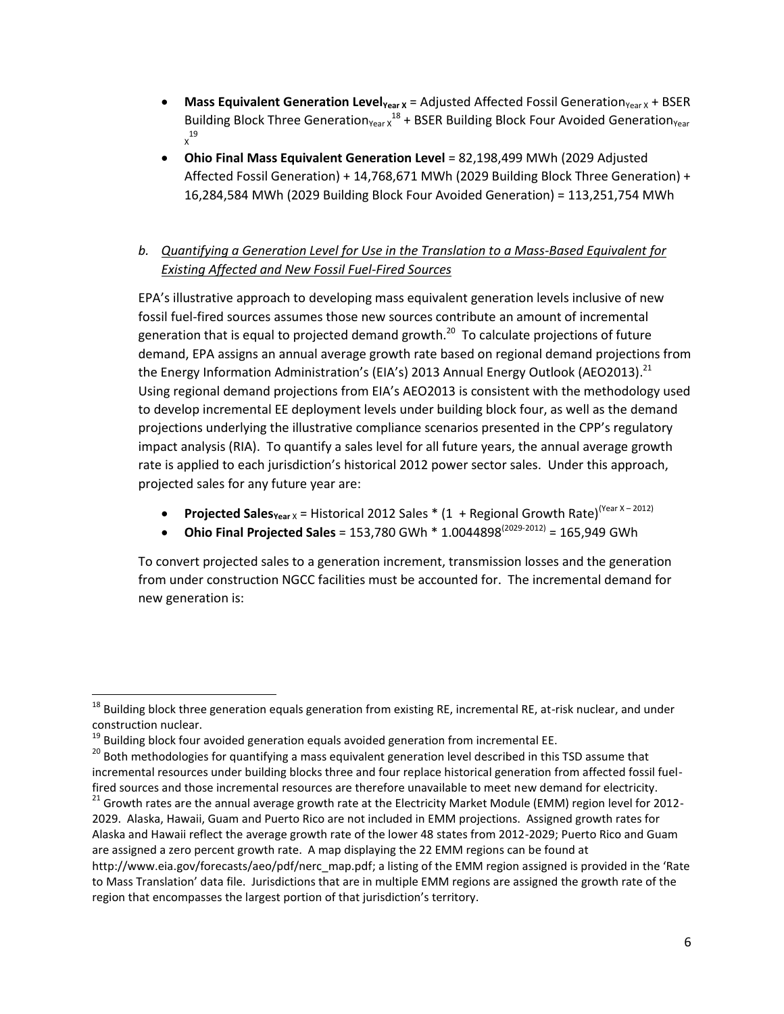- **Mass Equivalent Generation Level<sub>Year X</sub>** = Adjusted Affected Fossil Generation<sub>Year X</sub> + BSER Building Block Three Generation<sub>Year</sub>  $x^{18}$  + BSER Building Block Four Avoided Generation<sub>Year</sub> X 19
- **Ohio Final Mass Equivalent Generation Level** = 82,198,499 MWh (2029 Adjusted Affected Fossil Generation) + 14,768,671 MWh (2029 Building Block Three Generation) + 16,284,584 MWh (2029 Building Block Four Avoided Generation) = 113,251,754 MWh
- *b. Quantifying a Generation Level for Use in the Translation to a Mass-Based Equivalent for Existing Affected and New Fossil Fuel-Fired Sources*

EPA's illustrative approach to developing mass equivalent generation levels inclusive of new fossil fuel-fired sources assumes those new sources contribute an amount of incremental generation that is equal to projected demand growth.<sup>20</sup> To calculate projections of future demand, EPA assigns an annual average growth rate based on regional demand projections from the Energy Information Administration's (EIA's) 2013 Annual Energy Outlook (AEO2013).<sup>21</sup> Using regional demand projections from EIA's AEO2013 is consistent with the methodology used to develop incremental EE deployment levels under building block four, as well as the demand projections underlying the illustrative compliance scenarios presented in the CPP's regulatory impact analysis (RIA). To quantify a sales level for all future years, the annual average growth rate is applied to each jurisdiction's historical 2012 power sector sales. Under this approach, projected sales for any future year are:

- **Projected Sales** $Y_{\text{ear}} \times$  = Historical 2012 Sales \* (1 + Regional Growth Rate)<sup>(Year X-2012)</sup>
- **Ohio Final Projected Sales** = 153,780 GWh  $*$  1.0044898<sup>(2029-2012)</sup> = 165,949 GWh

To convert projected sales to a generation increment, transmission losses and the generation from under construction NGCC facilities must be accounted for. The incremental demand for new generation is:

l

- <sup>20</sup> Both methodologies for quantifying a mass equivalent generation level described in this TSD assume that incremental resources under building blocks three and four replace historical generation from affected fossil fuelfired sources and those incremental resources are therefore unavailable to meet new demand for electricity.
- <sup>21</sup> Growth rates are the annual average growth rate at the Electricity Market Module (EMM) region level for 2012-2029. Alaska, Hawaii, Guam and Puerto Rico are not included in EMM projections. Assigned growth rates for Alaska and Hawaii reflect the average growth rate of the lower 48 states from 2012-2029; Puerto Rico and Guam are assigned a zero percent growth rate. A map displaying the 22 EMM regions can be found at http://www.eia.gov/forecasts/aeo/pdf/nerc\_map.pdf; a listing of the EMM region assigned is provided in the 'Rate to Mass Translation' data file. Jurisdictions that are in multiple EMM regions are assigned the growth rate of the region that encompasses the largest portion of that jurisdiction's territory.

 $18$  Building block three generation equals generation from existing RE, incremental RE, at-risk nuclear, and under construction nuclear.

 $19$  Building block four avoided generation equals avoided generation from incremental EE.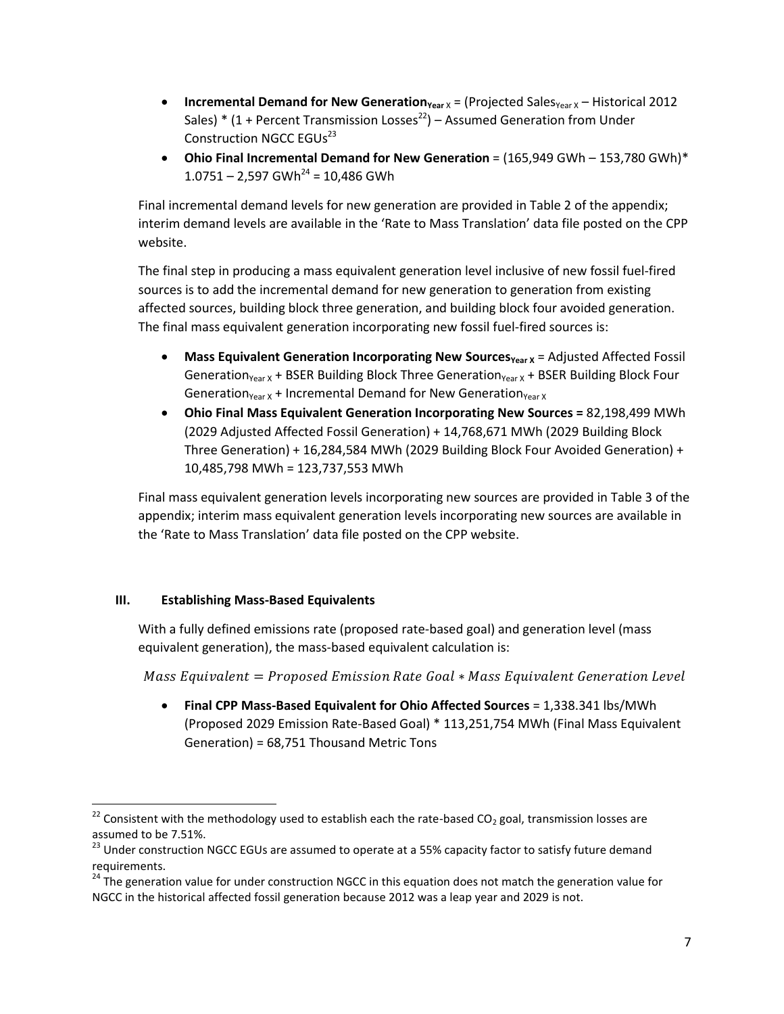- **Incremental Demand for New Generation**<sub>Year</sub> x = (Projected Sales<sub>Year</sub> x Historical 2012 Sales) \* (1 + Percent Transmission Losses<sup>22</sup>) – Assumed Generation from Under Construction NGCC EGUs<sup>23</sup>
- **Ohio Final Incremental Demand for New Generation** = (165,949 GWh 153,780 GWh)\*  $1.0751 - 2.597$  GWh<sup>24</sup> = 10.486 GWh

Final incremental demand levels for new generation are provided in Table 2 of the appendix; interim demand levels are available in the 'Rate to Mass Translation' data file posted on the CPP website.

The final step in producing a mass equivalent generation level inclusive of new fossil fuel-fired sources is to add the incremental demand for new generation to generation from existing affected sources, building block three generation, and building block four avoided generation. The final mass equivalent generation incorporating new fossil fuel-fired sources is:

- **Mass Equivalent Generation Incorporating New Sources<sub>Year X</sub> = Adjusted Affected Fossil <b>Numer** Generation<sub>Year X</sub> + BSER Building Block Three Generation<sub>Year X</sub> + BSER Building Block Four Generation<sub>Year X</sub> + Incremental Demand for New Generation<sub>Year X</sub>
- **Ohio Final Mass Equivalent Generation Incorporating New Sources =** 82,198,499 MWh (2029 Adjusted Affected Fossil Generation) + 14,768,671 MWh (2029 Building Block Three Generation) + 16,284,584 MWh (2029 Building Block Four Avoided Generation) + 10,485,798 MWh = 123,737,553 MWh

Final mass equivalent generation levels incorporating new sources are provided in Table 3 of the appendix; interim mass equivalent generation levels incorporating new sources are available in the 'Rate to Mass Translation' data file posted on the CPP website.

#### **III. Establishing Mass-Based Equivalents**

l

With a fully defined emissions rate (proposed rate-based goal) and generation level (mass equivalent generation), the mass-based equivalent calculation is:

Mass Equivalent = Proposed Emission Rate Goal  $*$  Mass Equivalent Generation Level

 **Final CPP Mass-Based Equivalent for Ohio Affected Sources** = 1,338.341 lbs/MWh (Proposed 2029 Emission Rate-Based Goal) \* 113,251,754 MWh (Final Mass Equivalent Generation) = 68,751 Thousand Metric Tons

<sup>&</sup>lt;sup>22</sup> Consistent with the methodology used to establish each the rate-based CO<sub>2</sub> goal, transmission losses are assumed to be 7.51%.

<sup>&</sup>lt;sup>23</sup> Under construction NGCC EGUs are assumed to operate at a 55% capacity factor to satisfy future demand requirements.

 $24$  The generation value for under construction NGCC in this equation does not match the generation value for NGCC in the historical affected fossil generation because 2012 was a leap year and 2029 is not.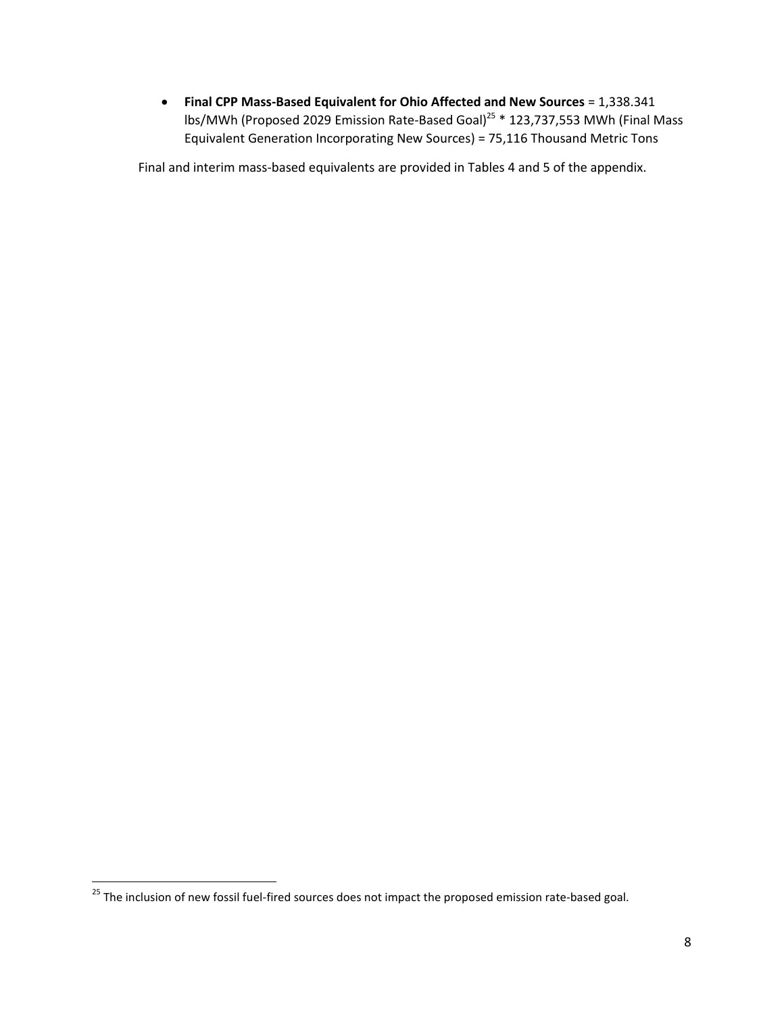**Final CPP Mass-Based Equivalent for Ohio Affected and New Sources** = 1,338.341 lbs/MWh (Proposed 2029 Emission Rate-Based Goal)<sup>25</sup> \* 123,737,553 MWh (Final Mass Equivalent Generation Incorporating New Sources) = 75,116 Thousand Metric Tons

Final and interim mass-based equivalents are provided in Tables 4 and 5 of the appendix.

<sup>&</sup>lt;sup>25</sup> The inclusion of new fossil fuel-fired sources does not impact the proposed emission rate-based goal.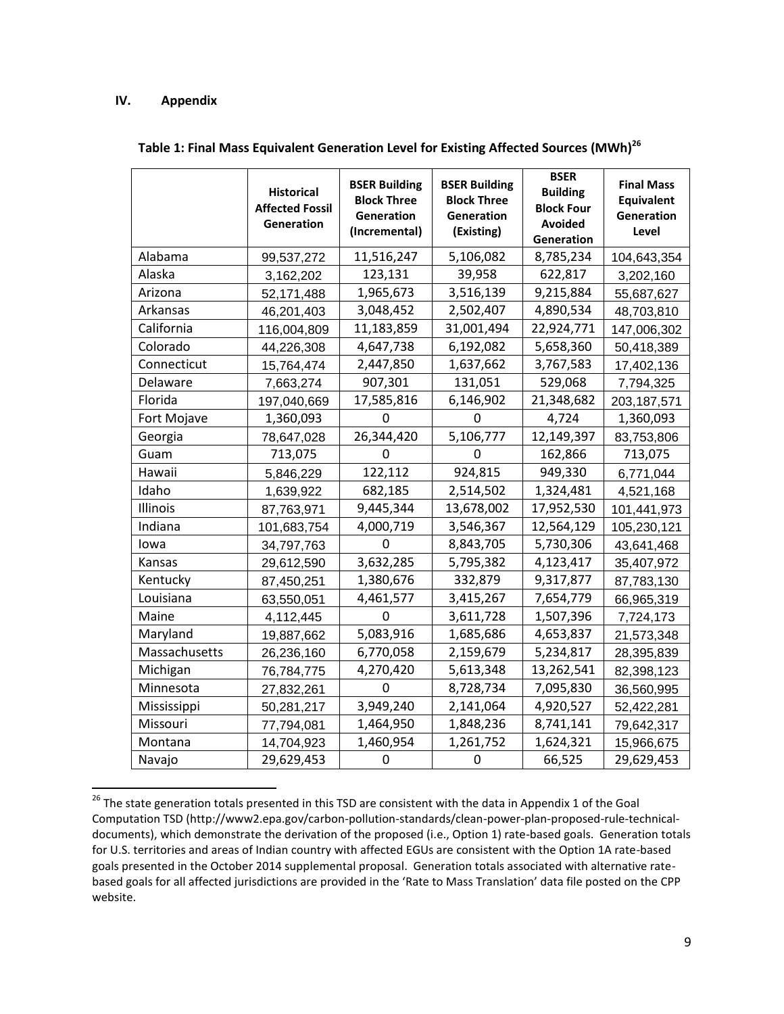#### **IV. Appendix**

|               | <b>Historical</b><br><b>Affected Fossil</b><br>Generation | <b>BSER Building</b><br><b>Block Three</b><br>Generation<br>(Incremental) | <b>BSER Building</b><br><b>Block Three</b><br>Generation<br>(Existing) | <b>BSER</b><br><b>Building</b><br><b>Block Four</b><br><b>Avoided</b><br>Generation | <b>Final Mass</b><br><b>Equivalent</b><br>Generation<br>Level |
|---------------|-----------------------------------------------------------|---------------------------------------------------------------------------|------------------------------------------------------------------------|-------------------------------------------------------------------------------------|---------------------------------------------------------------|
| Alabama       | 99,537,272                                                | 11,516,247                                                                | 5,106,082                                                              | 8,785,234                                                                           | 104,643,354                                                   |
| Alaska        | 3,162,202                                                 | 123,131                                                                   | 39,958                                                                 | 622,817                                                                             | 3,202,160                                                     |
| Arizona       | 52,171,488                                                | 1,965,673                                                                 | 3,516,139                                                              | 9,215,884                                                                           | 55,687,627                                                    |
| Arkansas      | 46,201,403                                                | 3,048,452                                                                 | 2,502,407                                                              | 4,890,534                                                                           | 48,703,810                                                    |
| California    | 116,004,809                                               | 11,183,859                                                                | 31,001,494                                                             | 22,924,771                                                                          | 147,006,302                                                   |
| Colorado      | 44,226,308                                                | 4,647,738                                                                 | 6,192,082                                                              | 5,658,360                                                                           | 50,418,389                                                    |
| Connecticut   | 15,764,474                                                | 2,447,850                                                                 | 1,637,662                                                              | 3,767,583                                                                           | 17,402,136                                                    |
| Delaware      | 7,663,274                                                 | 907,301                                                                   | 131,051                                                                | 529,068                                                                             | 7,794,325                                                     |
| Florida       | 197,040,669                                               | 17,585,816                                                                | 6,146,902                                                              | 21,348,682                                                                          | 203, 187, 571                                                 |
| Fort Mojave   | 1,360,093                                                 | 0                                                                         | 0                                                                      | 4,724                                                                               | 1,360,093                                                     |
| Georgia       | 78,647,028                                                | 26,344,420                                                                | 5,106,777                                                              | 12,149,397                                                                          | 83,753,806                                                    |
| Guam          | 713,075                                                   | 0                                                                         | 0                                                                      | 162,866                                                                             | 713,075                                                       |
| Hawaii        | 5,846,229                                                 | 122,112                                                                   | 924,815                                                                | 949,330                                                                             | 6,771,044                                                     |
| Idaho         | 1,639,922                                                 | 682,185                                                                   | 2,514,502                                                              | 1,324,481                                                                           | 4,521,168                                                     |
| Illinois      | 87,763,971                                                | 9,445,344                                                                 | 13,678,002                                                             | 17,952,530                                                                          | 101,441,973                                                   |
| Indiana       | 101,683,754                                               | 4,000,719                                                                 | 3,546,367                                                              | 12,564,129                                                                          | 105,230,121                                                   |
| lowa          | 34,797,763                                                | 0                                                                         | 8,843,705                                                              | 5,730,306                                                                           | 43,641,468                                                    |
| Kansas        | 29,612,590                                                | 3,632,285                                                                 | 5,795,382                                                              | 4,123,417                                                                           | 35,407,972                                                    |
| Kentucky      | 87,450,251                                                | 1,380,676                                                                 | 332,879                                                                | 9,317,877                                                                           | 87,783,130                                                    |
| Louisiana     | 63,550,051                                                | 4,461,577                                                                 | 3,415,267                                                              | 7,654,779                                                                           | 66,965,319                                                    |
| Maine         | 4,112,445                                                 | 0                                                                         | 3,611,728                                                              | 1,507,396                                                                           | 7,724,173                                                     |
| Maryland      | 19,887,662                                                | 5,083,916                                                                 | 1,685,686                                                              | 4,653,837                                                                           | 21,573,348                                                    |
| Massachusetts | 26,236,160                                                | 6,770,058                                                                 | 2,159,679                                                              | 5,234,817                                                                           | 28,395,839                                                    |
| Michigan      | 76,784,775                                                | 4,270,420                                                                 | 5,613,348                                                              | 13,262,541                                                                          | 82,398,123                                                    |
| Minnesota     | 27,832,261                                                | 0                                                                         | 8,728,734                                                              | 7,095,830                                                                           | 36,560,995                                                    |
| Mississippi   | 50,281,217                                                | 3,949,240                                                                 | 2,141,064                                                              | 4,920,527                                                                           | 52,422,281                                                    |
| Missouri      | 77,794,081                                                | 1,464,950                                                                 | 1,848,236                                                              | 8,741,141                                                                           | 79,642,317                                                    |
| Montana       | 14,704,923                                                | 1,460,954                                                                 | 1,261,752                                                              | 1,624,321                                                                           | 15,966,675                                                    |
| Navajo        | 29,629,453                                                | 0                                                                         | $\mathbf 0$                                                            | 66,525                                                                              | 29,629,453                                                    |

**Table 1: Final Mass Equivalent Generation Level for Existing Affected Sources (MWh)<sup>26</sup>**

 $\overline{\phantom{a}}$ <sup>26</sup> The state generation totals presented in this TSD are consistent with the data in Appendix 1 of the Goal Computation TSD (http://www2.epa.gov/carbon-pollution-standards/clean-power-plan-proposed-rule-technicaldocuments), which demonstrate the derivation of the proposed (i.e., Option 1) rate-based goals. Generation totals for U.S. territories and areas of Indian country with affected EGUs are consistent with the Option 1A rate-based goals presented in the October 2014 supplemental proposal. Generation totals associated with alternative ratebased goals for all affected jurisdictions are provided in the 'Rate to Mass Translation' data file posted on the CPP website.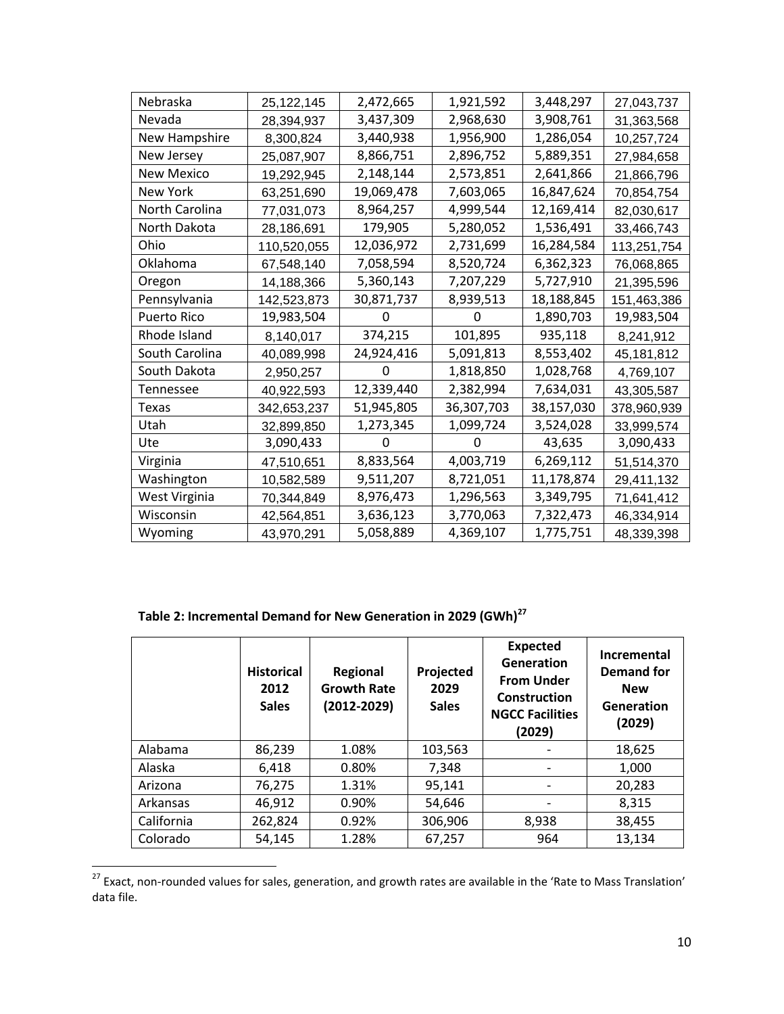| Nebraska          | 25,122,145  | 2,472,665  | 1,921,592  | 3,448,297  | 27,043,737  |
|-------------------|-------------|------------|------------|------------|-------------|
| Nevada            | 28,394,937  | 3,437,309  | 2,968,630  | 3,908,761  | 31,363,568  |
| New Hampshire     | 8,300,824   | 3,440,938  | 1,956,900  | 1,286,054  | 10,257,724  |
| New Jersey        | 25,087,907  | 8,866,751  | 2,896,752  | 5,889,351  | 27,984,658  |
| <b>New Mexico</b> | 19,292,945  | 2,148,144  | 2,573,851  | 2,641,866  | 21,866,796  |
| New York          | 63,251,690  | 19,069,478 | 7,603,065  | 16,847,624 | 70,854,754  |
| North Carolina    | 77,031,073  | 8,964,257  | 4,999,544  | 12,169,414 | 82,030,617  |
| North Dakota      | 28,186,691  | 179,905    | 5,280,052  | 1,536,491  | 33,466,743  |
| Ohio              | 110,520,055 | 12,036,972 | 2,731,699  | 16,284,584 | 113,251,754 |
| Oklahoma          | 67,548,140  | 7,058,594  | 8,520,724  | 6,362,323  | 76,068,865  |
| Oregon            | 14,188,366  | 5,360,143  | 7,207,229  | 5,727,910  | 21,395,596  |
| Pennsylvania      | 142,523,873 | 30,871,737 | 8,939,513  | 18,188,845 | 151,463,386 |
| Puerto Rico       | 19,983,504  |            | O          | 1,890,703  | 19,983,504  |
| Rhode Island      | 8,140,017   | 374,215    | 101,895    | 935,118    | 8,241,912   |
| South Carolina    | 40,089,998  | 24,924,416 | 5,091,813  | 8,553,402  | 45,181,812  |
| South Dakota      | 2,950,257   | 0          | 1,818,850  | 1,028,768  | 4,769,107   |
| Tennessee         | 40,922,593  | 12,339,440 | 2,382,994  | 7,634,031  | 43,305,587  |
| Texas             | 342,653,237 | 51,945,805 | 36,307,703 | 38,157,030 | 378,960,939 |
| Utah              | 32,899,850  | 1,273,345  | 1,099,724  | 3,524,028  | 33,999,574  |
| Ute               | 3,090,433   | 0          | 0          | 43,635     | 3,090,433   |
| Virginia          | 47,510,651  | 8,833,564  | 4,003,719  | 6,269,112  | 51,514,370  |
| Washington        | 10,582,589  | 9,511,207  | 8,721,051  | 11,178,874 | 29,411,132  |
| West Virginia     | 70,344,849  | 8,976,473  | 1,296,563  | 3,349,795  | 71,641,412  |
| Wisconsin         | 42,564,851  | 3,636,123  | 3,770,063  | 7,322,473  | 46,334,914  |
| Wyoming           | 43,970,291  | 5,058,889  | 4,369,107  | 1,775,751  | 48,339,398  |

## **Table 2: Incremental Demand for New Generation in 2029 (GWh)<sup>27</sup>**

|            | <b>Historical</b><br>2012<br><b>Sales</b> | Regional<br><b>Growth Rate</b><br>$(2012 - 2029)$ | Projected<br>2029<br><b>Sales</b> | <b>Expected</b><br>Generation<br><b>From Under</b><br>Construction<br><b>NGCC Facilities</b><br>(2029) | Incremental<br>Demand for<br><b>New</b><br>Generation<br>(2029) |
|------------|-------------------------------------------|---------------------------------------------------|-----------------------------------|--------------------------------------------------------------------------------------------------------|-----------------------------------------------------------------|
| Alabama    | 86,239                                    | 1.08%                                             | 103,563                           |                                                                                                        | 18,625                                                          |
| Alaska     | 6,418                                     | 0.80%                                             | 7,348                             |                                                                                                        | 1,000                                                           |
| Arizona    | 76,275                                    | 1.31%                                             | 95,141                            |                                                                                                        | 20,283                                                          |
| Arkansas   | 46,912                                    | 0.90%                                             | 54,646                            |                                                                                                        | 8,315                                                           |
| California | 262,824                                   | 0.92%                                             | 306,906                           | 8,938                                                                                                  | 38,455                                                          |
| Colorado   | 54,145                                    | 1.28%                                             | 67,257                            | 964                                                                                                    | 13,134                                                          |

<sup>&</sup>lt;sup>27</sup> Exact, non-rounded values for sales, generation, and growth rates are available in the 'Rate to Mass Translation' data file.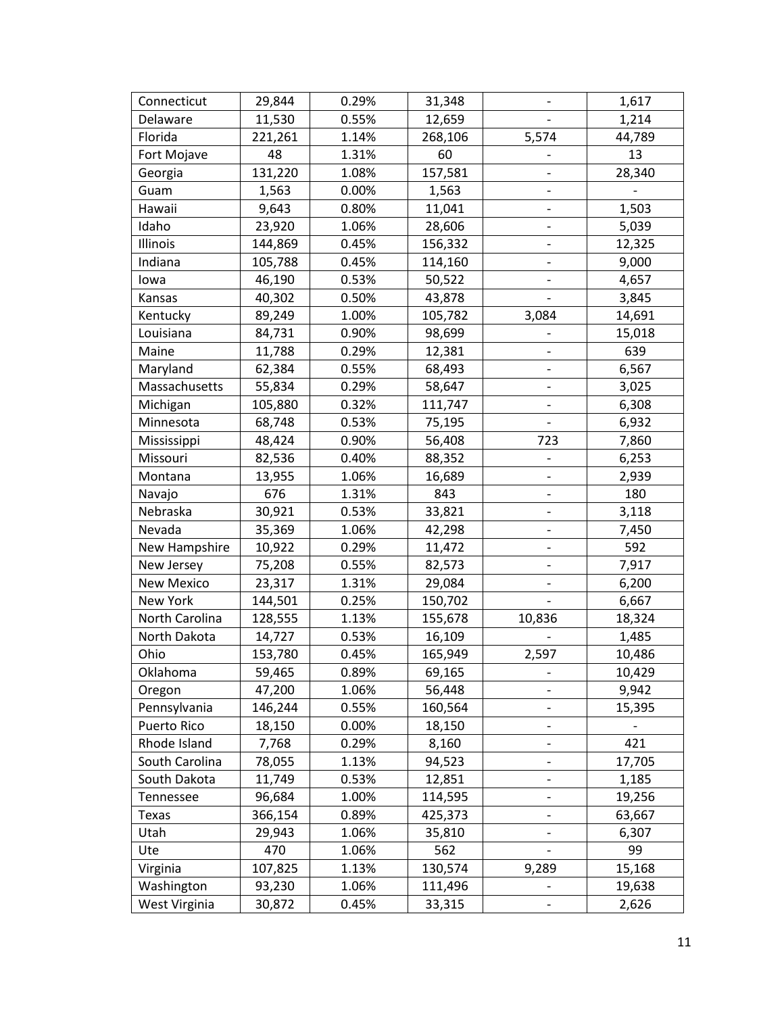| Connecticut    | 29,844  | 0.29% | 31,348  | $\qquad \qquad -$            | 1,617         |
|----------------|---------|-------|---------|------------------------------|---------------|
| Delaware       | 11,530  | 0.55% | 12,659  |                              | 1,214         |
| Florida        | 221,261 | 1.14% | 268,106 | 5,574                        | 44,789        |
| Fort Mojave    | 48      | 1.31% | 60      |                              | 13            |
| Georgia        | 131,220 | 1.08% | 157,581 |                              | 28,340        |
| Guam           | 1,563   | 0.00% | 1,563   | $\qquad \qquad \blacksquare$ |               |
| Hawaii         | 9,643   | 0.80% | 11,041  | $\qquad \qquad -$            | 1,503         |
| Idaho          | 23,920  | 1.06% | 28,606  |                              | 5,039         |
| Illinois       | 144,869 | 0.45% | 156,332 | $\overline{\phantom{a}}$     | 12,325        |
| Indiana        | 105,788 | 0.45% | 114,160 | $\qquad \qquad -$            | 9,000         |
| lowa           | 46,190  | 0.53% | 50,522  |                              | 4,657         |
| Kansas         | 40,302  | 0.50% | 43,878  | $\blacksquare$               | 3,845         |
| Kentucky       | 89,249  | 1.00% | 105,782 | 3,084                        | 14,691        |
| Louisiana      | 84,731  | 0.90% | 98,699  |                              | 15,018        |
| Maine          | 11,788  | 0.29% | 12,381  | $\qquad \qquad -$            | 639           |
| Maryland       | 62,384  | 0.55% | 68,493  | $\overline{\phantom{0}}$     | 6,567         |
| Massachusetts  | 55,834  | 0.29% | 58,647  |                              | 3,025         |
| Michigan       | 105,880 | 0.32% | 111,747 |                              | 6,308         |
| Minnesota      | 68,748  | 0.53% | 75,195  |                              | 6,932         |
| Mississippi    | 48,424  | 0.90% | 56,408  | 723                          | 7,860         |
| Missouri       | 82,536  | 0.40% | 88,352  | $\qquad \qquad -$            | 6,253         |
| Montana        | 13,955  | 1.06% | 16,689  | $\overline{\phantom{a}}$     | 2,939         |
| Navajo         | 676     | 1.31% | 843     | $\overline{\phantom{a}}$     | 180           |
| Nebraska       | 30,921  | 0.53% | 33,821  |                              | 3,118         |
| Nevada         | 35,369  | 1.06% | 42,298  | $\qquad \qquad -$            | 7,450         |
| New Hampshire  | 10,922  | 0.29% | 11,472  |                              | 592           |
| New Jersey     | 75,208  | 0.55% | 82,573  |                              | 7,917         |
| New Mexico     | 23,317  | 1.31% | 29,084  | $\overline{\phantom{0}}$     | 6,200         |
| New York       | 144,501 | 0.25% | 150,702 |                              | 6,667         |
| North Carolina | 128,555 | 1.13% | 155,678 | 10,836                       | 18,324        |
| North Dakota   | 14,727  | 0.53% | 16,109  |                              | 1,485         |
| Ohio           | 153,780 | 0.45% | 165,949 | 2,597                        | 10,486        |
| Oklahoma       | 59,465  | 0.89% | 69,165  |                              | 10,429        |
| Oregon         | 47,200  | 1.06% | 56,448  |                              | 9,942         |
| Pennsylvania   | 146,244 | 0.55% | 160,564 | $\qquad \qquad \blacksquare$ | 15,395        |
| Puerto Rico    | 18,150  | 0.00% | 18,150  | $\qquad \qquad -$            | $\frac{1}{2}$ |
| Rhode Island   | 7,768   | 0.29% | 8,160   | -                            | 421           |
| South Carolina | 78,055  | 1.13% | 94,523  | $\qquad \qquad \blacksquare$ | 17,705        |
| South Dakota   | 11,749  | 0.53% | 12,851  |                              | 1,185         |
| Tennessee      | 96,684  | 1.00% | 114,595 |                              | 19,256        |
| <b>Texas</b>   | 366,154 | 0.89% | 425,373 | $\qquad \qquad \blacksquare$ | 63,667        |
| Utah           | 29,943  | 1.06% | 35,810  |                              | 6,307         |
| Ute            | 470     | 1.06% | 562     |                              | 99            |
| Virginia       | 107,825 | 1.13% | 130,574 | 9,289                        | 15,168        |
| Washington     | 93,230  | 1.06% | 111,496 |                              | 19,638        |
| West Virginia  | 30,872  | 0.45% | 33,315  |                              | 2,626         |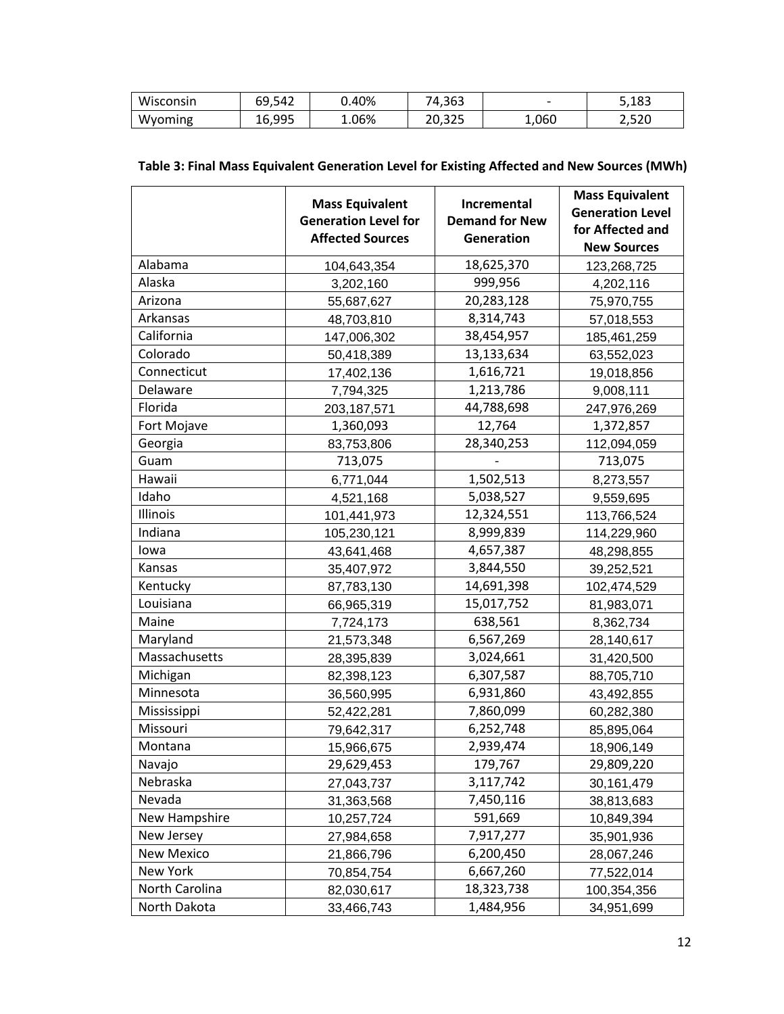| Wisconsin | 69,542 | J.40% | 74,363 | $\overline{\phantom{0}}$ | 5,183 |
|-----------|--------|-------|--------|--------------------------|-------|
| Wyoming   | 16,995 | 1.06% | 20,325 | 1,060                    | 2,520 |

|               | <b>Mass Equivalent</b>      | Incremental           | <b>Mass Equivalent</b>  |
|---------------|-----------------------------|-----------------------|-------------------------|
|               | <b>Generation Level for</b> | <b>Demand for New</b> | <b>Generation Level</b> |
|               | <b>Affected Sources</b>     | <b>Generation</b>     | for Affected and        |
|               |                             |                       | <b>New Sources</b>      |
| Alabama       | 104,643,354                 | 18,625,370            | 123,268,725             |
| Alaska        | 3,202,160                   | 999,956               | 4,202,116               |
| Arizona       | 55,687,627                  | 20,283,128            | 75,970,755              |
| Arkansas      | 48,703,810                  | 8,314,743             | 57,018,553              |
| California    | 147,006,302                 | 38,454,957            | 185,461,259             |
| Colorado      | 50,418,389                  | 13,133,634            | 63,552,023              |
| Connecticut   | 17,402,136                  | 1,616,721             | 19,018,856              |
| Delaware      | 7,794,325                   | 1,213,786             | 9,008,111               |
| Florida       | 203, 187, 571               | 44,788,698            | 247,976,269             |
| Fort Mojave   | 1,360,093                   | 12,764                | 1,372,857               |
| Georgia       | 83,753,806                  | 28,340,253            | 112,094,059             |
| Guam          | 713,075                     |                       | 713,075                 |
| Hawaii        | 6,771,044                   | 1,502,513             | 8,273,557               |
| Idaho         | 4,521,168                   | 5,038,527             | 9,559,695               |
| Illinois      | 101,441,973                 | 12,324,551            | 113,766,524             |
| Indiana       | 105,230,121                 | 8,999,839             | 114,229,960             |
| lowa          | 43,641,468                  | 4,657,387             | 48,298,855              |
| Kansas        | 35,407,972                  | 3,844,550             | 39,252,521              |
| Kentucky      | 87,783,130                  | 14,691,398            | 102,474,529             |
| Louisiana     | 66,965,319                  | 15,017,752            | 81,983,071              |
| Maine         | 7,724,173                   | 638,561               | 8,362,734               |
| Maryland      | 21,573,348                  | 6,567,269             | 28,140,617              |
| Massachusetts | 28,395,839                  | 3,024,661             | 31,420,500              |
| Michigan      | 82,398,123                  | 6,307,587             | 88,705,710              |
| Minnesota     | 36,560,995                  | 6,931,860             | 43,492,855              |
| Mississippi   | 52,422,281                  | 7,860,099             | 60,282,380              |
| Missouri      | 79,642,317                  | 6,252,748             | 85,895,064              |
| Montana       | 15,966,675                  | 2,939,474             | 18,906,149              |
| Navajo        | 29,629,453                  | 179,767               | 29,809,220              |
| Nebraska      | 27,043,737                  | 3,117,742             | 30,161,479              |
| Nevada        | 31,363,568                  | 7,450,116             | 38,813,683              |
| New Hampshire | 10,257,724                  | 591,669               | 10,849,394              |
| New Jersey    | 27,984,658                  | 7,917,277             | 35,901,936              |

New Mexico 21,866,796 6,200,450 28,067,246 New York 70,854,754 6,667,260 77,522,014 North Carolina 18,323,738 100,354,356 North Dakota | 33,466,743 | 1,484,956 | 34,951,699

#### **Table 3: Final Mass Equivalent Generation Level for Existing Affected and New Sources (MWh)**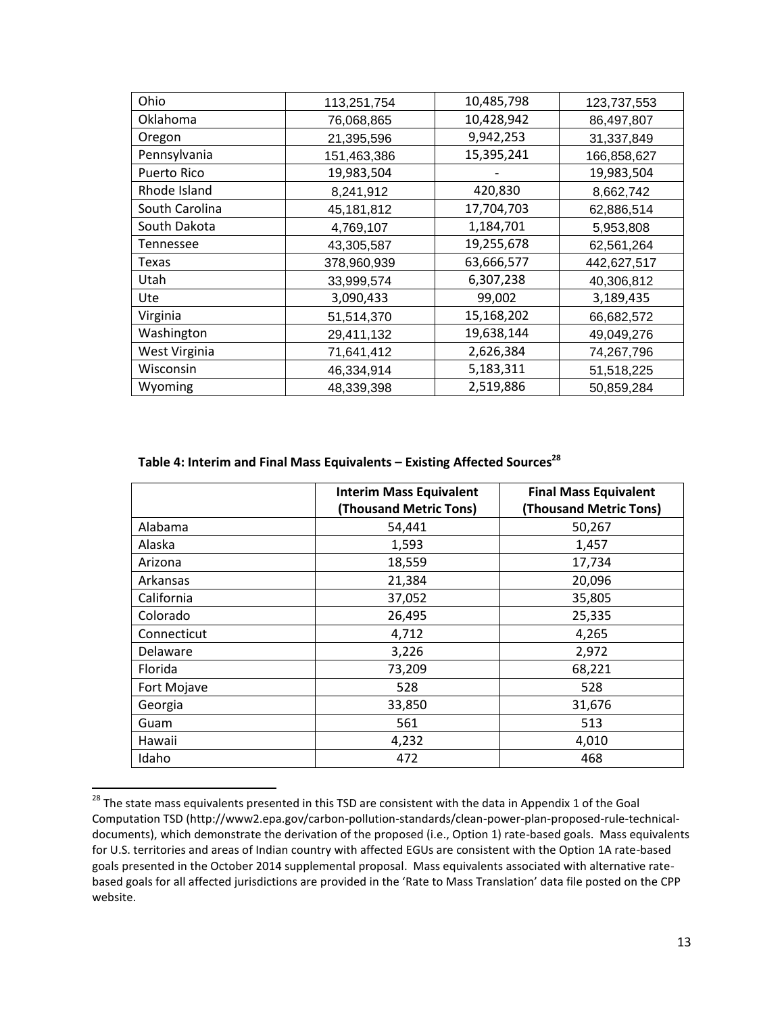| Ohio           | 113,251,754 | 10,485,798 | 123,737,553 |
|----------------|-------------|------------|-------------|
| Oklahoma       | 76,068,865  | 10,428,942 | 86,497,807  |
| Oregon         | 21,395,596  | 9,942,253  | 31,337,849  |
| Pennsylvania   | 151,463,386 | 15,395,241 | 166,858,627 |
| Puerto Rico    | 19,983,504  |            | 19,983,504  |
| Rhode Island   | 8,241,912   | 420,830    | 8,662,742   |
| South Carolina | 45,181,812  | 17,704,703 | 62,886,514  |
| South Dakota   | 4,769,107   | 1,184,701  | 5,953,808   |
| Tennessee      | 43,305,587  | 19,255,678 | 62,561,264  |
| Texas          | 378,960,939 | 63,666,577 | 442,627,517 |
| Utah           | 33,999,574  | 6,307,238  | 40,306,812  |
| Ute            | 3,090,433   | 99,002     | 3,189,435   |
| Virginia       | 51,514,370  | 15,168,202 | 66,682,572  |
| Washington     | 29,411,132  | 19,638,144 | 49,049,276  |
| West Virginia  | 71,641,412  | 2,626,384  | 74,267,796  |
| Wisconsin      | 46,334,914  | 5,183,311  | 51,518,225  |
| Wyoming        | 48,339,398  | 2,519,886  | 50,859,284  |

#### **Table 4: Interim and Final Mass Equivalents – Existing Affected Sources<sup>28</sup>**

|             | <b>Interim Mass Equivalent</b><br>(Thousand Metric Tons) | <b>Final Mass Equivalent</b><br><b>(Thousand Metric Tons)</b> |
|-------------|----------------------------------------------------------|---------------------------------------------------------------|
| Alabama     | 54,441                                                   | 50,267                                                        |
| Alaska      | 1,593                                                    | 1,457                                                         |
| Arizona     | 18,559                                                   | 17,734                                                        |
| Arkansas    | 21,384                                                   | 20,096                                                        |
| California  | 37,052                                                   | 35,805                                                        |
| Colorado    | 26,495                                                   | 25,335                                                        |
| Connecticut | 4,712                                                    | 4,265                                                         |
| Delaware    | 3,226                                                    | 2,972                                                         |
| Florida     | 73,209                                                   | 68,221                                                        |
| Fort Mojave | 528                                                      | 528                                                           |
| Georgia     | 33,850                                                   | 31,676                                                        |
| Guam        | 561                                                      | 513                                                           |
| Hawaii      | 4,232                                                    | 4,010                                                         |
| Idaho       | 472                                                      | 468                                                           |

<sup>&</sup>lt;sup>28</sup> The state mass equivalents presented in this TSD are consistent with the data in Appendix 1 of the Goal Computation TSD (http://www2.epa.gov/carbon-pollution-standards/clean-power-plan-proposed-rule-technicaldocuments), which demonstrate the derivation of the proposed (i.e., Option 1) rate-based goals. Mass equivalents for U.S. territories and areas of Indian country with affected EGUs are consistent with the Option 1A rate-based goals presented in the October 2014 supplemental proposal. Mass equivalents associated with alternative ratebased goals for all affected jurisdictions are provided in the 'Rate to Mass Translation' data file posted on the CPP website.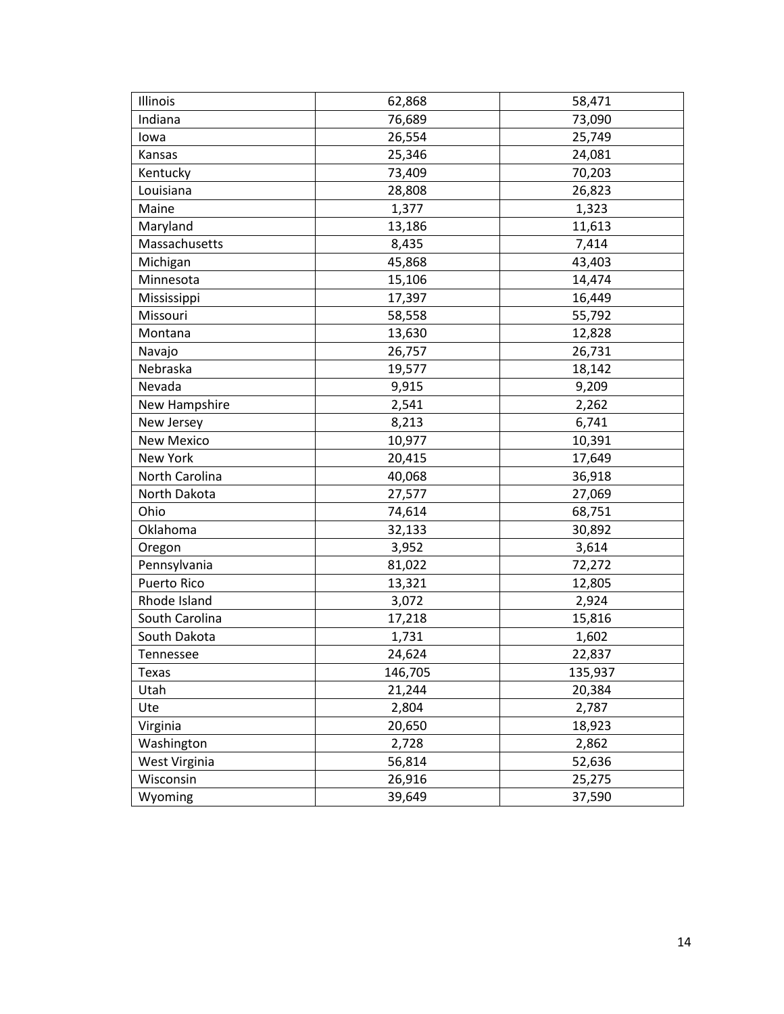| Illinois          | 62,868  | 58,471  |
|-------------------|---------|---------|
| Indiana           | 76,689  | 73,090  |
| lowa              | 26,554  | 25,749  |
| Kansas            | 25,346  | 24,081  |
| Kentucky          | 73,409  | 70,203  |
| Louisiana         | 28,808  | 26,823  |
| Maine             | 1,377   | 1,323   |
| Maryland          | 13,186  | 11,613  |
| Massachusetts     | 8,435   | 7,414   |
| Michigan          | 45,868  | 43,403  |
| Minnesota         | 15,106  | 14,474  |
| Mississippi       | 17,397  | 16,449  |
| Missouri          | 58,558  | 55,792  |
| Montana           | 13,630  | 12,828  |
| Navajo            | 26,757  | 26,731  |
| Nebraska          | 19,577  | 18,142  |
| Nevada            | 9,915   | 9,209   |
| New Hampshire     | 2,541   | 2,262   |
| New Jersey        | 8,213   | 6,741   |
| <b>New Mexico</b> | 10,977  | 10,391  |
| New York          | 20,415  | 17,649  |
| North Carolina    | 40,068  | 36,918  |
| North Dakota      | 27,577  | 27,069  |
| Ohio              | 74,614  | 68,751  |
| Oklahoma          | 32,133  | 30,892  |
| Oregon            | 3,952   | 3,614   |
| Pennsylvania      | 81,022  | 72,272  |
| Puerto Rico       | 13,321  | 12,805  |
| Rhode Island      | 3,072   | 2,924   |
| South Carolina    | 17,218  | 15,816  |
| South Dakota      | 1,731   | 1,602   |
| Tennessee         | 24,624  | 22,837  |
| <b>Texas</b>      | 146,705 | 135,937 |
| Utah              | 21,244  | 20,384  |
| Ute               | 2,804   | 2,787   |
| Virginia          | 20,650  | 18,923  |
| Washington        | 2,728   | 2,862   |
| West Virginia     | 56,814  | 52,636  |
| Wisconsin         | 26,916  | 25,275  |
| Wyoming           | 39,649  | 37,590  |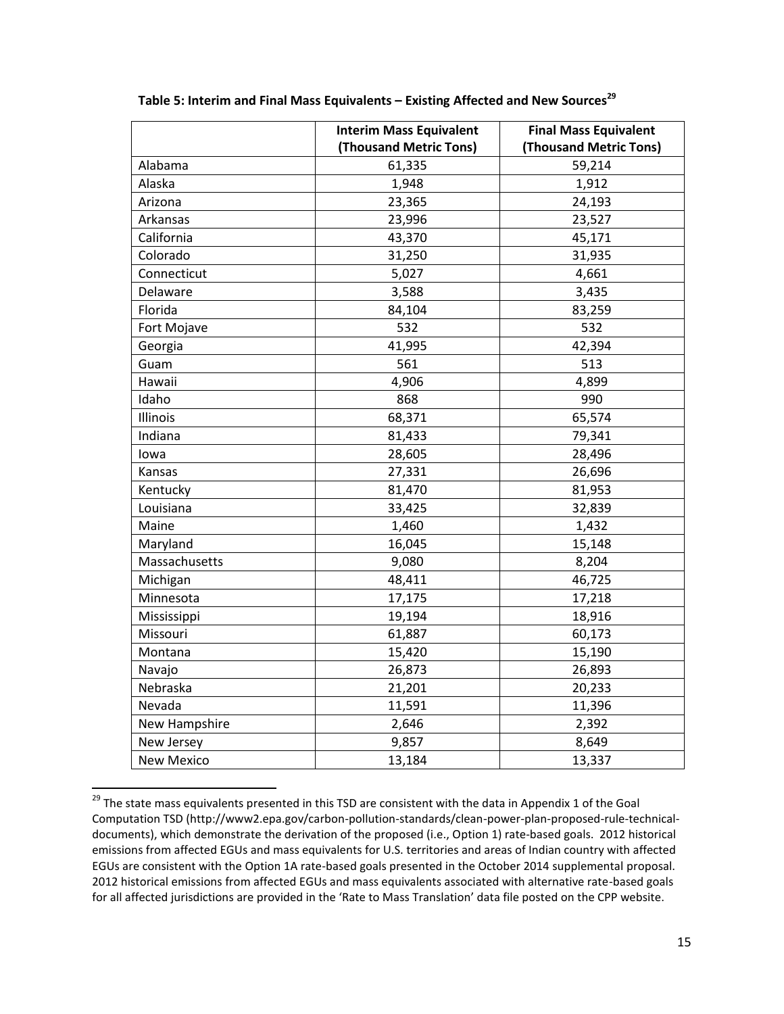|                   | <b>Interim Mass Equivalent</b> | <b>Final Mass Equivalent</b> |
|-------------------|--------------------------------|------------------------------|
|                   | (Thousand Metric Tons)         | (Thousand Metric Tons)       |
| Alabama           | 61,335                         | 59,214                       |
| Alaska            | 1,948                          | 1,912                        |
| Arizona           | 23,365                         | 24,193                       |
| Arkansas          | 23,996                         | 23,527                       |
| California        | 43,370                         | 45,171                       |
| Colorado          | 31,250                         | 31,935                       |
| Connecticut       | 5,027                          | 4,661                        |
| Delaware          | 3,588                          | 3,435                        |
| Florida           | 84,104                         | 83,259                       |
| Fort Mojave       | 532                            | 532                          |
| Georgia           | 41,995                         | 42,394                       |
| Guam              | 561                            | 513                          |
| Hawaii            | 4,906                          | 4,899                        |
| Idaho             | 868                            | 990                          |
| Illinois          | 68,371                         | 65,574                       |
| Indiana           | 81,433                         | 79,341                       |
| lowa              | 28,605                         | 28,496                       |
| Kansas            | 27,331                         | 26,696                       |
| Kentucky          | 81,470                         | 81,953                       |
| Louisiana         | 33,425                         | 32,839                       |
| Maine             | 1,460                          | 1,432                        |
| Maryland          | 16,045                         | 15,148                       |
| Massachusetts     | 9,080                          | 8,204                        |
| Michigan          | 48,411                         | 46,725                       |
| Minnesota         | 17,175                         | 17,218                       |
| Mississippi       | 19,194                         | 18,916                       |
| Missouri          | 61,887                         | 60,173                       |
| Montana           | 15,420                         | 15,190                       |
| Navajo            | 26,873                         | 26,893                       |
| Nebraska          | 21,201                         | 20,233                       |
| Nevada            | 11,591                         | 11,396                       |
| New Hampshire     | 2,646                          | 2,392                        |
| New Jersey        | 9,857                          | 8,649                        |
| <b>New Mexico</b> | 13,184                         | 13,337                       |

**Table 5: Interim and Final Mass Equivalents – Existing Affected and New Sources<sup>29</sup>**

<sup>&</sup>lt;sup>29</sup> The state mass equivalents presented in this TSD are consistent with the data in Appendix 1 of the Goal Computation TSD (http://www2.epa.gov/carbon-pollution-standards/clean-power-plan-proposed-rule-technicaldocuments), which demonstrate the derivation of the proposed (i.e., Option 1) rate-based goals. 2012 historical emissions from affected EGUs and mass equivalents for U.S. territories and areas of Indian country with affected EGUs are consistent with the Option 1A rate-based goals presented in the October 2014 supplemental proposal. 2012 historical emissions from affected EGUs and mass equivalents associated with alternative rate-based goals for all affected jurisdictions are provided in the 'Rate to Mass Translation' data file posted on the CPP website.